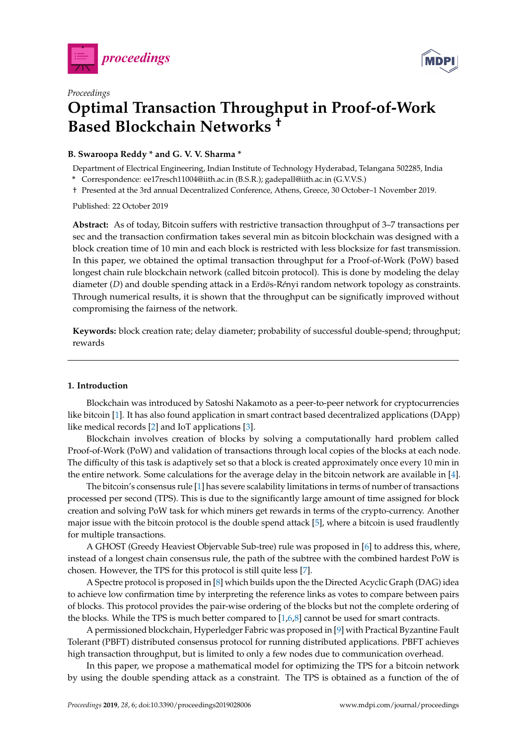



# *Proceedings* **Optimal Transaction Throughput in Proof-of-Work Based Blockchain Networks †**

### **B. Swaroopa Reddy \* and G. V. V. Sharma \***

Department of Electrical Engineering, Indian Institute of Technology Hyderabad, Telangana 502285, India

**\*** Correspondence: ee17resch11004@iith.ac.in (B.S.R.); gadepall@iith.ac.in (G.V.V.S.) † Presented at the 3rd annual Decentralized Conference, Athens, Greece, 30 October–1 November 2019.

Published: 22 October 2019

compromising the fairness of the network.

**Abstract:** As of today, Bitcoin suffers with restrictive transaction throughput of 3–7 transactions per sec and the transaction confirmation takes several min as bitcoin blockchain was designed with a block creation time of 10 min and each block is restricted with less blocksize for fast transmission. In this paper, we obtained the optimal transaction throughput for a Proof-of-Work (PoW) based longest chain rule blockchain network (called bitcoin protocol). This is done by modeling the delay diameter (*D*) and double spending attack in a Erdös-Rényi random network topology as constraints. Through numerical results, it is shown that the throughput can be significatly improved without

**Keywords:** block creation rate; delay diameter; probability of successful double-spend; throughput; rewards

## <span id="page-0-0"></span>**1. Introduction**

Blockchain was introduced by Satoshi Nakamoto as a peer-to-peer network for cryptocurrencies like bitcoin [\[1\]](#page-8-0). It has also found application in smart contract based decentralized applications (DApp) like medical records [\[2\]](#page-8-1) and IoT applications [\[3\]](#page-8-2).

Blockchain involves creation of blocks by solving a computationally hard problem called Proof-of-Work (PoW) and validation of transactions through local copies of the blocks at each node. The difficulty of this task is adaptively set so that a block is created approximately once every 10 min in the entire network. Some calculations for the average delay in the bitcoin network are available in [\[4\]](#page-8-3).

The bitcoin's consensus rule [\[1\]](#page-8-0) has severe scalability limitations in terms of number of transactions processed per second (TPS). This is due to the significantly large amount of time assigned for block creation and solving PoW task for which miners get rewards in terms of the crypto-currency. Another major issue with the bitcoin protocol is the double spend attack [\[5\]](#page-8-4), where a bitcoin is used fraudlently for multiple transactions.

A GHOST (Greedy Heaviest Objervable Sub-tree) rule was proposed in [\[6\]](#page-8-5) to address this, where, instead of a longest chain consensus rule, the path of the subtree with the combined hardest PoW is chosen. However, the TPS for this protocol is still quite less [\[7\]](#page-8-6).

A Spectre protocol is proposed in [\[8\]](#page-8-7) which builds upon the the Directed Acyclic Graph (DAG) idea to achieve low confirmation time by interpreting the reference links as votes to compare between pairs of blocks. This protocol provides the pair-wise ordering of the blocks but not the complete ordering of the blocks. While the TPS is much better compared to [\[1,](#page-8-0)[6,](#page-8-5)[8\]](#page-8-7) cannot be used for smart contracts.

A permissioned blockchain, Hyperledger Fabric was proposed in [\[9\]](#page-8-8) with Practical Byzantine Fault Tolerant (PBFT) distributed consensus protocol for running distributed applications. PBFT achieves high transaction throughput, but is limited to only a few nodes due to communication overhead.

In this paper, we propose a mathematical model for optimizing the TPS for a bitcoin network by using the double spending attack as a constraint. The TPS is obtained as a function of the of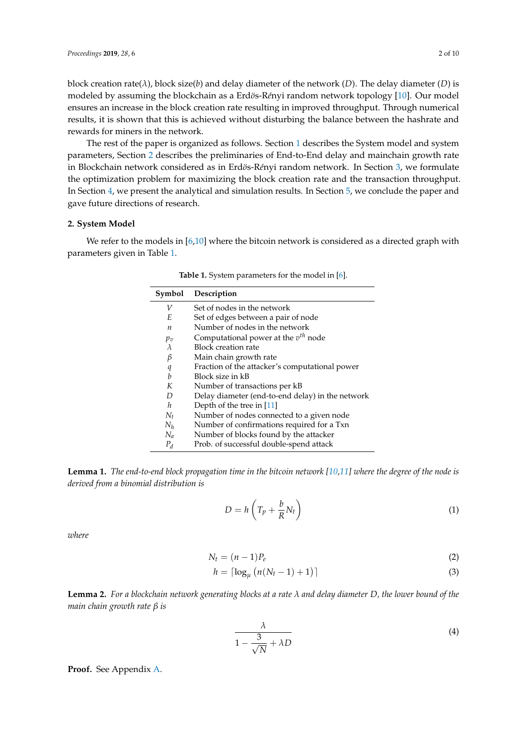block creation rate(*λ*), block size(*b*) and delay diameter of the network (*D*). The delay diameter (*D*) is modeled by assuming the blockchain as a Erdös-Rényi random network topology [\[10\]](#page-8-9). Our model ensures an increase in the block creation rate resulting in improved throughput. Through numerical results, it is shown that this is achieved without disturbing the balance between the hashrate and rewards for miners in the network.

The rest of the paper is organized as follows. Section [1](#page-0-0) describes the System model and system parameters, Section [2](#page-1-0) describes the preliminaries of End-to-End delay and mainchain growth rate in Blockchain network considered as in Erdös-Rényi random network. In Section [3,](#page-2-0) we formulate the optimization problem for maximizing the block creation rate and the transaction throughput. In Section [4,](#page-3-0) we present the analytical and simulation results. In Section [5,](#page-5-0) we conclude the paper and gave future directions of research.

#### <span id="page-1-0"></span>**2. System Model**

<span id="page-1-1"></span>We refer to the models in [\[6,](#page-8-5)[10\]](#page-8-9) where the bitcoin network is considered as a directed graph with parameters given in Table [1.](#page-1-1)

| Symbol           | Description                                      |
|------------------|--------------------------------------------------|
| V                | Set of nodes in the network                      |
| E                | Set of edges between a pair of node              |
| $\boldsymbol{n}$ | Number of nodes in the network                   |
| $p_v$            | Computational power at the $v^{th}$ node         |
| λ                | <b>Block creation rate</b>                       |
| β                | Main chain growth rate                           |
| q                | Fraction of the attacker's computational power   |
| $\boldsymbol{b}$ | Block size in kB                                 |
| K                | Number of transactions per kB                    |
| D                | Delay diameter (end-to-end delay) in the network |
| $\boldsymbol{h}$ | Depth of the tree in $[11]$                      |
| $N_t$            | Number of nodes connected to a given node        |
| $N_h$            | Number of confirmations required for a Txn       |
| $N_a$            | Number of blocks found by the attacker           |
| $P_d$            | Prob. of successful double-spend attack          |

**Table 1.** System parameters for the model in [\[6\]](#page-8-5).

**Lemma 1.** *The end-to-end block propagation time in the bitcoin network [\[10,](#page-8-9)[11\]](#page-8-10) where the degree of the node is derived from a binomial distribution is*

<span id="page-1-3"></span>
$$
D = h\left(T_p + \frac{b}{R}N_t\right) \tag{1}
$$

*where*

$$
N_t = (n-1)P_e \tag{2}
$$

$$
h = \lceil \log_{\mu} \left( n(N_t - 1) + 1 \right) \rceil \tag{3}
$$

<span id="page-1-4"></span>**Lemma 2.** *For a blockchain network generating blocks at a rate λ and delay diameter D, the lower bound of the main chain growth rate β is*

<span id="page-1-2"></span>
$$
\frac{\lambda}{1 - \frac{3}{\sqrt{N}} + \lambda D} \tag{4}
$$

**Proof.** See Appendix [A.](#page-5-1)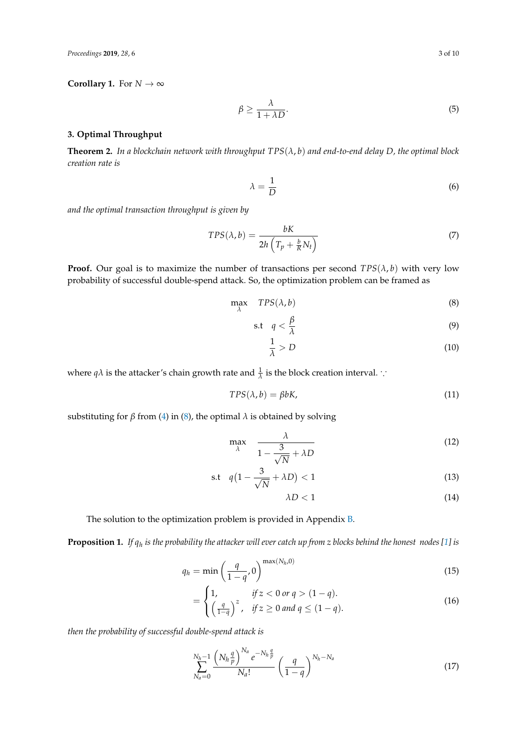*Proceedings* **2019**, *28*, 6 3 of 10

#### **Corollary 1.** For  $N \to \infty$

$$
\beta \ge \frac{\lambda}{1 + \lambda D}.\tag{5}
$$

#### <span id="page-2-0"></span>**3. Optimal Throughput**

<span id="page-2-7"></span>**Theorem 2.** *In a blockchain network with throughput TPS*(*λ*, *b*) *and end-to-end delay D, the optimal block creation rate is*

<span id="page-2-6"></span><span id="page-2-5"></span>
$$
\lambda = \frac{1}{D} \tag{6}
$$

*and the optimal transaction throughput is given by*

$$
TPS(\lambda, b) = \frac{bK}{2h\left(T_p + \frac{b}{K}N_t\right)}\tag{7}
$$

**Proof.** Our goal is to maximize the number of transactions per second  $TPS(\lambda, b)$  with very low probability of successful double-spend attack. So, the optimization problem can be framed as

$$
\max_{\lambda} \quad TPS(\lambda, b) \tag{8}
$$

$$
\text{s.t} \quad q < \frac{\beta}{\lambda} \tag{9}
$$

<span id="page-2-2"></span><span id="page-2-1"></span>
$$
\frac{1}{\lambda} > D \tag{10}
$$

where  $q\lambda$  is the attacker's chain growth rate and  $\frac{1}{\lambda}$  is the block creation interval. ∵

$$
TPS(\lambda, b) = \beta bK,\tag{11}
$$

substituting for *β* from [\(4\)](#page-1-2) in [\(8\)](#page-2-1), the optimal  $\lambda$  is obtained by solving

$$
\max_{\lambda} \quad \frac{\lambda}{1 - \frac{3}{\sqrt{N}} + \lambda D} \tag{12}
$$

$$
\text{s.t} \quad q\left(1 - \frac{3}{\sqrt{N}} + \lambda D\right) < 1\tag{13}
$$

<span id="page-2-3"></span>
$$
\lambda D < 1\tag{14}
$$

The solution to the optimization problem is provided in Appendix [B.](#page-6-0)

**Proposition 1.** *If q<sup>h</sup> is the probability the attacker will ever catch up from z blocks behind the honest nodes [\[1\]](#page-8-0) is*

$$
q_h = \min\left(\frac{q}{1-q}, 0\right)^{\max(N_h, 0)}
$$
\n(15)

$$
= \begin{cases} 1, & \text{if } z < 0 \text{ or } q > (1 - q). \\ \left(\frac{q}{1 - q}\right)^z, & \text{if } z \ge 0 \text{ and } q \le (1 - q). \end{cases} \tag{16}
$$

*then the probability of successful double-spend attack is*

<span id="page-2-4"></span>
$$
\sum_{N_a=0}^{N_h-1} \frac{\left(N_h \frac{q}{p}\right)^{N_a} e^{-N_h \frac{q}{p}}}{N_a!} \left(\frac{q}{1-q}\right)^{N_h-N_a} \tag{17}
$$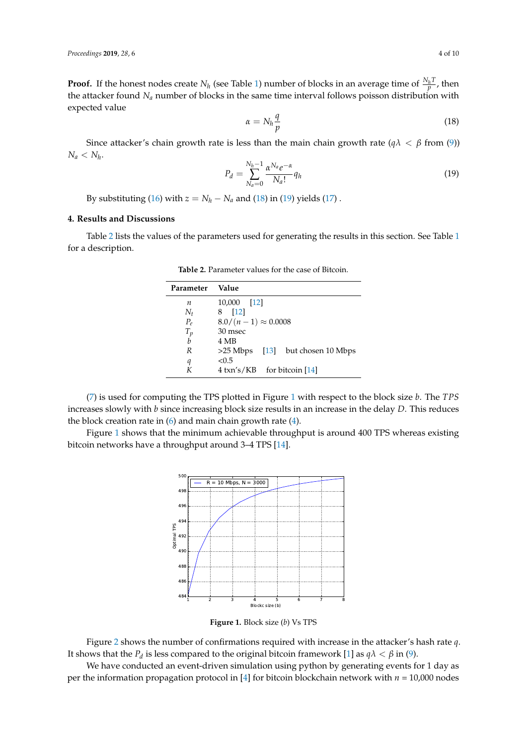**Proof.** If the honest nodes create  $N_h$  (see Table [1\)](#page-1-1) number of blocks in an average time of  $\frac{N_h T}{p}$ , then the attacker found *N<sup>a</sup>* number of blocks in the same time interval follows poisson distribution with expected value

<span id="page-3-1"></span>
$$
\alpha = N_h \frac{q}{p} \tag{18}
$$

Since attacker's chain growth rate is less than the main chain growth rate ( $q\lambda < \beta$  from [\(9\)](#page-2-2))  $N_a < N_h$ 

<span id="page-3-2"></span>
$$
P_d = \sum_{N_a=0}^{N_h-1} \frac{\alpha^{N_a} e^{-\alpha}}{N_a!} q_h
$$
\n
$$
(19)
$$

By substituting [\(16\)](#page-2-3) with  $z = N_h - N_a$  and [\(18\)](#page-3-1) in [\(19\)](#page-3-2) yields [\(17\)](#page-2-4).

### <span id="page-3-0"></span>**4. Results and Discussions**

<span id="page-3-3"></span>Table [2](#page-3-3) lists the values of the parameters used for generating the results in this section. See Table [1](#page-1-1) for a description.

| Parameter | Value                                |
|-----------|--------------------------------------|
| n         | 10,000 [12]                          |
| $N_t$     | 8 [12]                               |
| $P_e$     | $8.0/(n-1) \approx 0.0008$           |
| $T_p$     | 30 msec                              |
| b         | 4 MB                                 |
| R         | $>25$ Mbps [13] but chosen 10 Mbps   |
| q         | < 0.5                                |
|           | $4 \text{ km/s/KB}$ for bitcoin [14] |

**Table 2.** Parameter values for the case of Bitcoin.

[\(7\)](#page-2-5) is used for computing the TPS plotted in Figure [1](#page-3-4) with respect to the block size *b*. The *TPS* increases slowly with *b* since increasing block size results in an increase in the delay *D*. This reduces the block creation rate in  $(6)$  and main chain growth rate  $(4)$ .

<span id="page-3-4"></span>Figure [1](#page-3-4) shows that the minimum achievable throughput is around 400 TPS whereas existing bitcoin networks have a throughput around 3–4 TPS [\[14\]](#page-9-0).



**Figure 1.** Block size (*b*) Vs TPS

Figure [2](#page-4-0) shows the number of confirmations required with increase in the attacker's hash rate *q*. It shows that the  $P_d$  is less compared to the original bitcoin framework [\[1\]](#page-8-0) as  $q\lambda < \beta$  in [\(9\)](#page-2-2).

We have conducted an event-driven simulation using python by generating events for 1 day as per the information propagation protocol in [\[4\]](#page-8-3) for bitcoin blockchain network with *n* = 10,000 nodes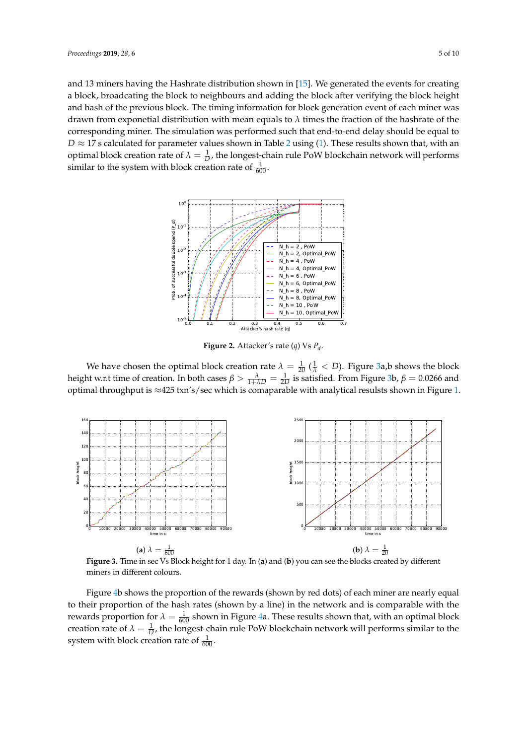and 13 miners having the Hashrate distribution shown in [\[15\]](#page-9-1). We generated the events for creating a block, broadcating the block to neighbours and adding the block after verifying the block height and hash of the previous block. The timing information for block generation event of each miner was drawn from exponetial distribution with mean equals to *λ* times the fraction of the hashrate of the corresponding miner. The simulation was performed such that end-to-end delay should be equal to  $D \approx 17$  s calculated for parameter values shown in Table [2](#page-3-3) using [\(1\)](#page-1-3). These results shown that, with an optimal block creation rate of  $\lambda = \frac{1}{D}$ , the longest-chain rule PoW blockchain network will performs similar to the system with block creation rate of  $\frac{1}{600}$ .

<span id="page-4-0"></span>

**Figure 2.** Attacker's rate (*q*) Vs *P<sup>d</sup>* .

We have chosen the optimal block creation rate  $\lambda = \frac{1}{20}$  ( $\frac{1}{\lambda} < D$ ). Figure [3a](#page-4-1),b shows the block height w.r.t time of creation. In both cases  $β > \frac{λ}{1+λD} = \frac{1}{2D}$  is satisfied. From Figure [3b](#page-4-1),  $β = 0.0266$  and optimal throughput is ≈425 txn's/sec which is comaparable with analytical resulsts shown in Figure [1.](#page-3-4)

<span id="page-4-1"></span>

**Figure 3.** Time in sec Vs Block height for 1 day. In (**a**) and (**b**) you can see the blocks created by different miners in different colours.

Figure [4b](#page-5-2) shows the proportion of the rewards (shown by red dots) of each miner are nearly equal to their proportion of the hash rates (shown by a line) in the network and is comparable with the rewards proportion for  $\lambda = \frac{1}{600}$  shown in Figure [4a](#page-5-2). These results shown that, with an optimal block creation rate of  $\lambda = \frac{1}{D}$ , the longest-chain rule PoW blockchain network will performs similar to the system with block creation rate of  $\frac{1}{600}$ .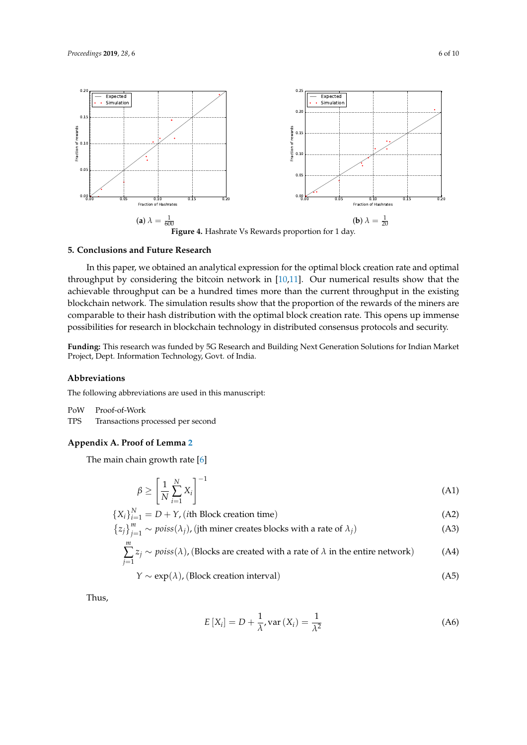<span id="page-5-2"></span>

#### <span id="page-5-0"></span>**5. Conclusions and Future Research**

In this paper, we obtained an analytical expression for the optimal block creation rate and optimal throughput by considering the bitcoin network in [\[10,](#page-8-9)[11\]](#page-8-10). Our numerical results show that the achievable throughput can be a hundred times more than the current throughput in the existing blockchain network. The simulation results show that the proportion of the rewards of the miners are comparable to their hash distribution with the optimal block creation rate. This opens up immense possibilities for research in blockchain technology in distributed consensus protocols and security.

**Funding:** This research was funded by 5G Research and Building Next Generation Solutions for Indian Market Project, Dept. Information Technology, Govt. of India.

#### **Abbreviations**

The following abbreviations are used in this manuscript:

PoW Proof-of-Work

TPS Transactions processed per second

## <span id="page-5-1"></span>**Appendix A. Proof of Lemma [2](#page-1-4)**

The main chain growth rate [\[6\]](#page-8-5)

$$
\beta \ge \left[\frac{1}{N} \sum_{i=1}^{N} X_i\right]^{-1} \tag{A1}
$$

$$
\{X_i\}_{i=1}^N = D + Y, \text{ (ith Block creation time)}\tag{A2}
$$

$$
\{z_j\}_{j=1}^m \sim \text{poiss}(\lambda_j), \text{ (jth miner creates blocks with a rate of } \lambda_j)
$$
 (A3)

$$
\sum_{j=1}^{m} z_j \sim \text{poiss}(\lambda), \text{(Blocks are created with a rate of } \lambda \text{ in the entire network)} \tag{A4}
$$

$$
Y \sim \exp(\lambda), \text{(Block creation interval)} \tag{A5}
$$

Thus,

<span id="page-5-3"></span>
$$
E\left[X_i\right] = D + \frac{1}{\lambda}, \text{var}\left(X_i\right) = \frac{1}{\lambda^2} \tag{A6}
$$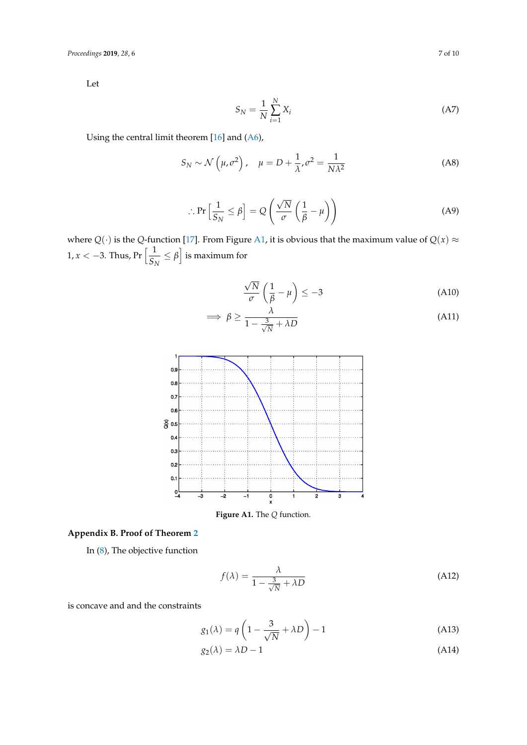Let

$$
S_N = \frac{1}{N} \sum_{i=1}^N X_i
$$
\n(A7)

Using the central limit theorem [\[16\]](#page-9-2) and [\(A6\)](#page-5-3),

$$
S_N \sim \mathcal{N}\left(\mu, \sigma^2\right), \quad \mu = D + \frac{1}{\lambda}, \sigma^2 = \frac{1}{N\lambda^2}
$$
 (A8)

$$
\therefore \Pr\left[\frac{1}{S_N} \le \beta\right] = Q\left(\frac{\sqrt{N}}{\sigma} \left(\frac{1}{\beta} - \mu\right)\right) \tag{A9}
$$

where  $Q(\cdot)$  is the *Q*-function [\[17\]](#page-9-3). From Figure [A1,](#page-6-1) it is obvious that the maximum value of  $Q(x) \approx$ 1,  $x < -3$ . Thus, Pr  $\left\lceil \frac{1}{c} \right\rceil$  $\frac{1}{S_N} \leq \beta$  is maximum for

$$
\frac{\sqrt{N}}{\sigma} \left( \frac{1}{\beta} - \mu \right) \le -3 \tag{A10}
$$

$$
\implies \beta \ge \frac{\lambda}{1 - \frac{3}{\sqrt{N}} + \lambda D} \tag{A11}
$$

<span id="page-6-1"></span>

**Figure A1.** The *Q* function.

## <span id="page-6-0"></span>**Appendix B. Proof of Theorem [2](#page-2-7)**

In [\(8\)](#page-2-1), The objective function

$$
f(\lambda) = \frac{\lambda}{1 - \frac{3}{\sqrt{N}} + \lambda D}
$$
 (A12)

is concave and and the constraints

$$
g_1(\lambda) = q \left( 1 - \frac{3}{\sqrt{N}} + \lambda D \right) - 1 \tag{A13}
$$

$$
g_2(\lambda) = \lambda D - 1 \tag{A14}
$$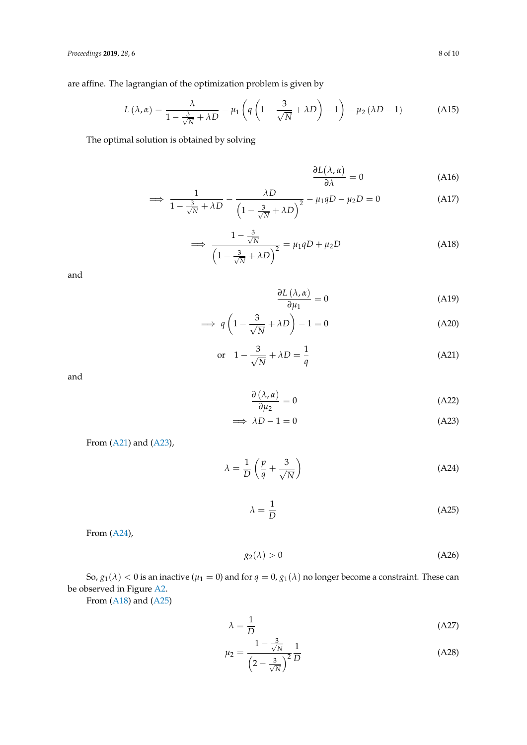are affine. The lagrangian of the optimization problem is given by

$$
L(\lambda, \alpha) = \frac{\lambda}{1 - \frac{3}{\sqrt{N}} + \lambda D} - \mu_1 \left( q \left( 1 - \frac{3}{\sqrt{N}} + \lambda D \right) - 1 \right) - \mu_2 (\lambda D - 1)
$$
 (A15)

The optimal solution is obtained by solving

$$
\frac{\partial L(\lambda, \alpha)}{\partial \lambda} = 0 \tag{A16}
$$

$$
\implies \frac{1}{1 - \frac{3}{\sqrt{N}} + \lambda D} - \frac{\lambda D}{\left(1 - \frac{3}{\sqrt{N}} + \lambda D\right)^2} - \mu_1 q D - \mu_2 D = 0 \tag{A17}
$$

<span id="page-7-3"></span>
$$
\implies \frac{1 - \frac{3}{\sqrt{N}}}{\left(1 - \frac{3}{\sqrt{N}} + \lambda D\right)^2} = \mu_1 q D + \mu_2 D \tag{A18}
$$

and

$$
\frac{\partial L(\lambda, \alpha)}{\partial \mu_1} = 0 \tag{A19}
$$

$$
\implies q\left(1 - \frac{3}{\sqrt{N}} + \lambda D\right) - 1 = 0 \tag{A20}
$$

<span id="page-7-0"></span>
$$
\text{or} \quad 1 - \frac{3}{\sqrt{N}} + \lambda D = \frac{1}{q} \tag{A21}
$$

and

<span id="page-7-1"></span>
$$
\frac{\partial (\lambda, \alpha)}{\partial \mu_2} = 0 \tag{A22}
$$

$$
\implies \lambda D - 1 = 0 \tag{A23}
$$

From 
$$
(A21)
$$
 and  $(A23)$ ,

$$
\lambda = \frac{1}{D} \left( \frac{p}{q} + \frac{3}{\sqrt{N}} \right) \tag{A24}
$$

<span id="page-7-4"></span><span id="page-7-2"></span>
$$
\lambda = \frac{1}{D} \tag{A25}
$$

From [\(A24\)](#page-7-2),

<span id="page-7-5"></span>
$$
g_2(\lambda) > 0 \tag{A26}
$$

So,  $g_1(\lambda) < 0$  is an inactive ( $\mu_1 = 0$ ) and for  $q = 0$ ,  $g_1(\lambda)$  no longer become a constraint. These can be observed in Figure [A2.](#page-8-13)

From [\(A18\)](#page-7-3) and [\(A25\)](#page-7-4)

$$
\lambda = \frac{1}{D} \tag{A27}
$$

$$
\mu_2 = \frac{1 - \frac{3}{\sqrt{N}}}{\left(2 - \frac{3}{\sqrt{N}}\right)^2} \frac{1}{D}
$$
\n(A28)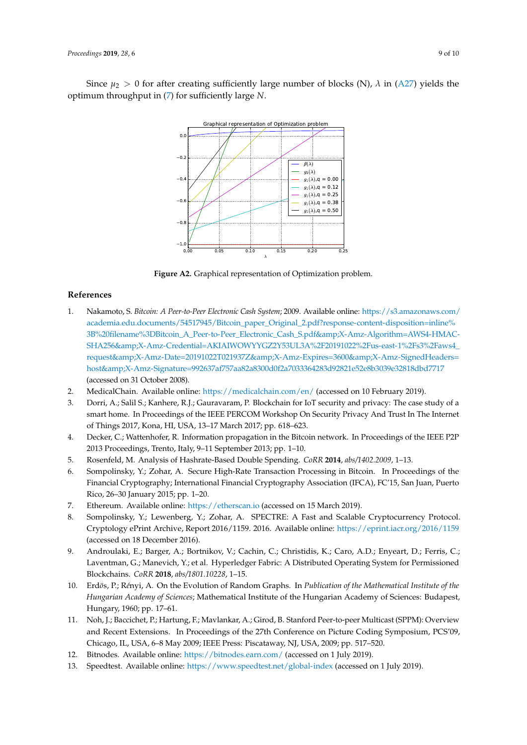<span id="page-8-13"></span>Since  $\mu_2 > 0$  for after creating sufficiently large number of blocks (N),  $\lambda$  in [\(A27\)](#page-7-5) yields the optimum throughput in [\(7\)](#page-2-5) for sufficiently large *N*.



**Figure A2.** Graphical representation of Optimization problem.

#### **References**

- <span id="page-8-0"></span>1. Nakamoto, S. *Bitcoin: A Peer-to-Peer Electronic Cash System*; 2009. Available online: [https://s3.amazonaws.com/](https://s3.amazonaws.com/academia.edu.documents/54517945/Bitcoin_paper_Original_2.pdf?response-content-disposition=inline%3B%20filename%3DBitcoin_A_Peer-to-Peer_Electronic_Cash_S.pdf&X-Amz-Algorithm=AWS4-HMAC-SHA256&X-Amz-Credential=AKIAIWOWYYGZ2Y53UL3A%2F20191022%2Fus-east-1%2Fs3%2Faws4_request&X-Amz-Date=20191022T021937Z&X-Amz-Expires=3600&X-Amz-SignedHeaders=host&X-Amz-Signature=992637af757aa82a8300d0f2a7033364283d92821e52e8b3039e32818dbd7717) [academia.edu.documents/54517945/Bitcoin\\_paper\\_Original\\_2.pdf?response-content-disposition=inline%](https://s3.amazonaws.com/academia.edu.documents/54517945/Bitcoin_paper_Original_2.pdf?response-content-disposition=inline%3B%20filename%3DBitcoin_A_Peer-to-Peer_Electronic_Cash_S.pdf&X-Amz-Algorithm=AWS4-HMAC-SHA256&X-Amz-Credential=AKIAIWOWYYGZ2Y53UL3A%2F20191022%2Fus-east-1%2Fs3%2Faws4_request&X-Amz-Date=20191022T021937Z&X-Amz-Expires=3600&X-Amz-SignedHeaders=host&X-Amz-Signature=992637af757aa82a8300d0f2a7033364283d92821e52e8b3039e32818dbd7717) [3B%20filename%3DBitcoin\\_A\\_Peer-to-Peer\\_Electronic\\_Cash\\_S.pdf&X-Amz-Algorithm=AWS4-HMAC-](https://s3.amazonaws.com/academia.edu.documents/54517945/Bitcoin_paper_Original_2.pdf?response-content-disposition=inline%3B%20filename%3DBitcoin_A_Peer-to-Peer_Electronic_Cash_S.pdf&X-Amz-Algorithm=AWS4-HMAC-SHA256&X-Amz-Credential=AKIAIWOWYYGZ2Y53UL3A%2F20191022%2Fus-east-1%2Fs3%2Faws4_request&X-Amz-Date=20191022T021937Z&X-Amz-Expires=3600&X-Amz-SignedHeaders=host&X-Amz-Signature=992637af757aa82a8300d0f2a7033364283d92821e52e8b3039e32818dbd7717)SHA256&X-Amz-Credential=AKIAIWOWYYGZ2Y53UL3A%2F20191022%2Fus-east-1%2Fs3%2Faws4 [request&X-Amz-Date=20191022T021937Z&X-Amz-Expires=3600&X-Amz-SignedHeaders=](https://s3.amazonaws.com/academia.edu.documents/54517945/Bitcoin_paper_Original_2.pdf?response-content-disposition=inline%3B%20filename%3DBitcoin_A_Peer-to-Peer_Electronic_Cash_S.pdf&X-Amz-Algorithm=AWS4-HMAC-SHA256&X-Amz-Credential=AKIAIWOWYYGZ2Y53UL3A%2F20191022%2Fus-east-1%2Fs3%2Faws4_request&X-Amz-Date=20191022T021937Z&X-Amz-Expires=3600&X-Amz-SignedHeaders=host&X-Amz-Signature=992637af757aa82a8300d0f2a7033364283d92821e52e8b3039e32818dbd7717) [host&X-Amz-Signature=992637af757aa82a8300d0f2a7033364283d92821e52e8b3039e32818dbd7717](https://s3.amazonaws.com/academia.edu.documents/54517945/Bitcoin_paper_Original_2.pdf?response-content-disposition=inline%3B%20filename%3DBitcoin_A_Peer-to-Peer_Electronic_Cash_S.pdf&X-Amz-Algorithm=AWS4-HMAC-SHA256&X-Amz-Credential=AKIAIWOWYYGZ2Y53UL3A%2F20191022%2Fus-east-1%2Fs3%2Faws4_request&X-Amz-Date=20191022T021937Z&X-Amz-Expires=3600&X-Amz-SignedHeaders=host&X-Amz-Signature=992637af757aa82a8300d0f2a7033364283d92821e52e8b3039e32818dbd7717) (accessed on 31 October 2008).
- <span id="page-8-1"></span>2. MedicalChain. Available online: <https://medicalchain.com/en/> (accessed on 10 February 2019).
- <span id="page-8-2"></span>3. Dorri, A.; Salil S.; Kanhere, R.J.; Gauravaram, P. Blockchain for IoT security and privacy: The case study of a smart home. In Proceedings of the IEEE PERCOM Workshop On Security Privacy And Trust In The Internet of Things 2017, Kona, HI, USA, 13–17 March 2017; pp. 618–623.
- <span id="page-8-3"></span>4. Decker, C.; Wattenhofer, R. Information propagation in the Bitcoin network. In Proceedings of the IEEE P2P 2013 Proceedings, Trento, Italy, 9–11 September 2013; pp. 1–10.
- <span id="page-8-4"></span>5. Rosenfeld, M. Analysis of Hashrate-Based Double Spending. *CoRR* **2014**, *abs/1402.2009*, 1–13.
- <span id="page-8-5"></span>6. Sompolinsky, Y.; Zohar, A. Secure High-Rate Transaction Processing in Bitcoin. In Proceedings of the Financial Cryptography; International Financial Cryptography Association (IFCA), FC'15, San Juan, Puerto Rico, 26–30 January 2015; pp. 1–20.
- <span id="page-8-6"></span>7. Ethereum. Available online: <https://etherscan.io> (accessed on 15 March 2019).
- <span id="page-8-7"></span>8. Sompolinsky, Y.; Lewenberg, Y.; Zohar, A. SPECTRE: A Fast and Scalable Cryptocurrency Protocol. Cryptology ePrint Archive, Report 2016/1159. 2016. Available online: <https://eprint.iacr.org/2016/1159> (accessed on 18 December 2016).
- <span id="page-8-8"></span>9. Androulaki, E.; Barger, A.; Bortnikov, V.; Cachin, C.; Christidis, K.; Caro, A.D.; Enyeart, D.; Ferris, C.; Laventman, G.; Manevich, Y.; et al. Hyperledger Fabric: A Distributed Operating System for Permissioned Blockchains. *CoRR* **2018**, *abs/1801.10228*, 1–15.
- <span id="page-8-9"></span>10. Erd*o*¨s, P.; R*e*´nyi, A. On the Evolution of Random Graphs. In *Publication of the Mathematical Institute of the Hungarian Academy of Sciences*; Mathematical Institute of the Hungarian Academy of Sciences: Budapest, Hungary, 1960; pp. 17–61.
- <span id="page-8-10"></span>11. Noh, J.; Baccichet, P.; Hartung, F.; Mavlankar, A.; Girod, B. Stanford Peer-to-peer Multicast (SPPM): Overview and Recent Extensions. In Proceedings of the 27th Conference on Picture Coding Symposium, PCS'09, Chicago, IL, USA, 6–8 May 2009; IEEE Press: Piscataway, NJ, USA, 2009; pp. 517–520.
- <span id="page-8-11"></span>12. Bitnodes. Available online: <https://bitnodes.earn.com/> (accessed on 1 July 2019).
- <span id="page-8-12"></span>13. Speedtest. Available online: <https://www.speedtest.net/global-index> (accessed on 1 July 2019).